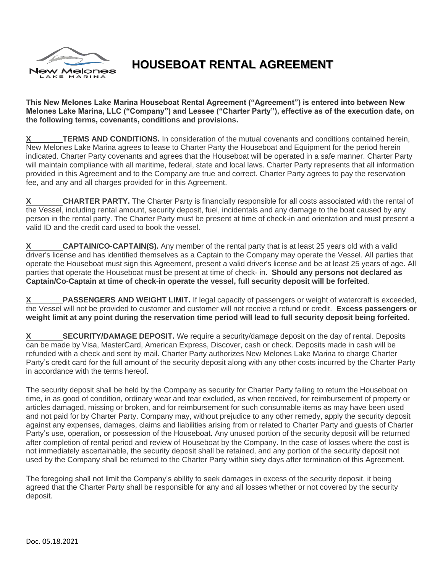

## **HOUSEBOAT RENTAL AGREEMENT**

**This New Melones Lake Marina Houseboat Rental Agreement ("Agreement") is entered into between New Melones Lake Marina, LLC ("Company") and Lessee ("Charter Party"), effective as of the execution date, on the following terms, covenants, conditions and provisions.**

**TERMS AND CONDITIONS.** In consideration of the mutual covenants and conditions contained herein, New Melones Lake Marina agrees to lease to Charter Party the Houseboat and Equipment for the period herein indicated. Charter Party covenants and agrees that the Houseboat will be operated in a safe manner. Charter Party will maintain compliance with all maritime, federal, state and local laws. Charter Party represents that all information provided in this Agreement and to the Company are true and correct. Charter Party agrees to pay the reservation fee, and any and all charges provided for in this Agreement.

**X CHARTER PARTY.** The Charter Party is financially responsible for all costs associated with the rental of the Vessel, including rental amount, security deposit, fuel, incidentals and any damage to the boat caused by any person in the rental party. The Charter Party must be present at time of check-in and orientation and must present a valid ID and the credit card used to book the vessel.

**X CAPTAIN/CO-CAPTAIN(S).** Any member of the rental party that is at least 25 years old with a valid driver's license and has identified themselves as a Captain to the Company may operate the Vessel. All parties that operate the Houseboat must sign this Agreement, present a valid driver's license and be at least 25 years of age. All parties that operate the Houseboat must be present at time of check- in. **Should any persons not declared as Captain/Co-Captain at time of check-in operate the vessel, full security deposit will be forfeited**.

**X PASSENGERS AND WEIGHT LIMIT.** If legal capacity of passengers or weight of watercraft is exceeded, the Vessel will not be provided to customer and customer will not receive a refund or credit. **Excess passengers or weight limit at any point during the reservation time period will lead to full security deposit being forfeited.** 

**X SECURITY/DAMAGE DEPOSIT.** We require a security/damage deposit on the day of rental. Deposits can be made by Visa, MasterCard, American Express, Discover, cash or check. Deposits made in cash will be refunded with a check and sent by mail. Charter Party authorizes New Melones Lake Marina to charge Charter Party's credit card for the full amount of the security deposit along with any other costs incurred by the Charter Party in accordance with the terms hereof.

The security deposit shall be held by the Company as security for Charter Party failing to return the Houseboat on time, in as good of condition, ordinary wear and tear excluded, as when received, for reimbursement of property or articles damaged, missing or broken, and for reimbursement for such consumable items as may have been used and not paid for by Charter Party. Company may, without prejudice to any other remedy, apply the security deposit against any expenses, damages, claims and liabilities arising from or related to Charter Party and guests of Charter Party's use, operation, or possession of the Houseboat. Any unused portion of the security deposit will be returned after completion of rental period and review of Houseboat by the Company. In the case of losses where the cost is not immediately ascertainable, the security deposit shall be retained, and any portion of the security deposit not used by the Company shall be returned to the Charter Party within sixty days after termination of this Agreement.

The foregoing shall not limit the Company's ability to seek damages in excess of the security deposit, it being agreed that the Charter Party shall be responsible for any and all losses whether or not covered by the security deposit.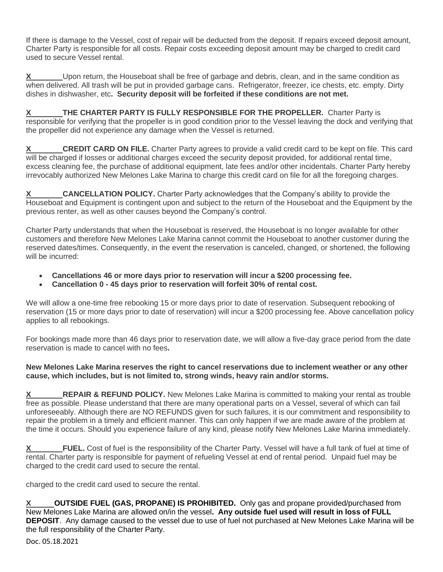If there is damage to the Vessel, cost of repair will be deducted from the deposit. If repairs exceed deposit amount, Charter Party is responsible for all costs. Repair costs exceeding deposit amount may be charged to credit card used to secure Vessel rental.

**X** Upon return, the Houseboat shall be free of garbage and debris, clean, and in the same condition as when delivered. All trash will be put in provided garbage cans. Refrigerator, freezer, ice chests, etc. empty. Dirty dishes in dishwasher, etc**. Security deposit will be forfeited if these conditions are not met.** 

**X THE CHARTER PARTY IS FULLY RESPONSIBLE FOR THE PROPELLER.** Charter Party is responsible for verifying that the propeller is in good condition prior to the Vessel leaving the dock and verifying that the propeller did not experience any damage when the Vessel is returned.

**X CREDIT CARD ON FILE.** Charter Party agrees to provide a valid credit card to be kept on file. This card will be charged if losses or additional charges exceed the security deposit provided, for additional rental time, excess cleaning fee, the purchase of additional equipment, late fees and/or other incidentals. Charter Party hereby irrevocably authorized New Melones Lake Marina to charge this credit card on file for all the foregoing charges.

**CANCELLATION POLICY.** Charter Party acknowledges that the Company's ability to provide the Houseboat and Equipment is contingent upon and subject to the return of the Houseboat and the Equipment by the previous renter, as well as other causes beyond the Company's control.

Charter Party understands that when the Houseboat is reserved, the Houseboat is no longer available for other customers and therefore New Melones Lake Marina cannot commit the Houseboat to another customer during the reserved dates/times. Consequently, in the event the reservation is canceled, changed, or shortened, the following will be incurred:

- **Cancellations 46 or more days prior to reservation will incur a \$200 processing fee.**
- **Cancellation 0 - 45 days prior to reservation will forfeit 30% of rental cost.**

We will allow a one-time free rebooking 15 or more days prior to date of reservation. Subsequent rebooking of reservation (15 or more days prior to date of reservation) will incur a \$200 processing fee. Above cancellation policy applies to all rebookings.

For bookings made more than 46 days prior to reservation date, we will allow a five-day grace period from the date reservation is made to cancel with no fees**.**

## **New Melones Lake Marina reserves the right to cancel reservations due to inclement weather or any other cause, which includes, but is not limited to, strong winds, heavy rain and/or storms.**

**REPAIR & REFUND POLICY.** New Melones Lake Marina is committed to making your rental as trouble free as possible. Please understand that there are many operational parts on a Vessel, several of which can fail unforeseeably. Although there are NO REFUNDS given for such failures, it is our commitment and responsibility to repair the problem in a timely and efficient manner. This can only happen if we are made aware of the problem at the time it occurs. Should you experience failure of any kind, please notify New Melones Lake Marina immediately.

**FUEL.** Cost of fuel is the responsibility of the Charter Party. Vessel will have a full tank of fuel at time of rental. Charter party is responsible for payment of refueling Vessel at end of rental period. Unpaid fuel may be charged to the credit card used to secure the rental.

charged to the credit card used to secure the rental.

**OUTSIDE FUEL (GAS, PROPANE) IS PROHIBITED.** Only gas and propane provided/purchased from New Melones Lake Marina are allowed on/in the vessel**. Any outside fuel used will result in loss of FULL DEPOSIT**.Any damage caused to the vessel due to use of fuel not purchased at New Melones Lake Marina will be the full responsibility of the Charter Party.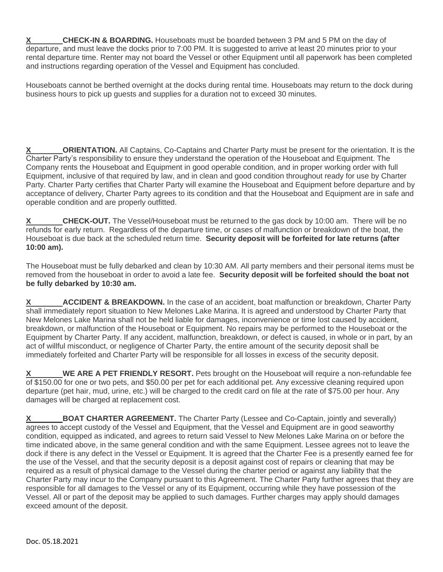**CHECK-IN & BOARDING.** Houseboats must be boarded between 3 PM and 5 PM on the day of departure, and must leave the docks prior to 7:00 PM. It is suggested to arrive at least 20 minutes prior to your rental departure time. Renter may not board the Vessel or other Equipment until all paperwork has been completed and instructions regarding operation of the Vessel and Equipment has concluded.

Houseboats cannot be berthed overnight at the docks during rental time. Houseboats may return to the dock during business hours to pick up guests and supplies for a duration not to exceed 30 minutes.

**ORIENTATION.** All Captains, Co-Captains and Charter Party must be present for the orientation. It is the Charter Party's responsibility to ensure they understand the operation of the Houseboat and Equipment. The Company rents the Houseboat and Equipment in good operable condition, and in proper working order with full Equipment, inclusive of that required by law, and in clean and good condition throughout ready for use by Charter Party. Charter Party certifies that Charter Party will examine the Houseboat and Equipment before departure and by acceptance of delivery, Charter Party agrees to its condition and that the Houseboat and Equipment are in safe and operable condition and are properly outfitted.

**CHECK-OUT.** The Vessel/Houseboat must be returned to the gas dock by 10:00 am. There will be no refunds for early return. Regardless of the departure time, or cases of malfunction or breakdown of the boat, the Houseboat is due back at the scheduled return time. **Security deposit will be forfeited for late returns (after 10:00 am).**

The Houseboat must be fully debarked and clean by 10:30 AM. All party members and their personal items must be removed from the houseboat in order to avoid a late fee. **Security deposit will be forfeited should the boat not be fully debarked by 10:30 am.** 

**X ACCIDENT & BREAKDOWN.** In the case of an accident, boat malfunction or breakdown, Charter Party shall immediately report situation to New Melones Lake Marina. It is agreed and understood by Charter Party that New Melones Lake Marina shall not be held liable for damages, inconvenience or time lost caused by accident, breakdown, or malfunction of the Houseboat or Equipment. No repairs may be performed to the Houseboat or the Equipment by Charter Party. If any accident, malfunction, breakdown, or defect is caused, in whole or in part, by an act of willful misconduct, or negligence of Charter Party, the entire amount of the security deposit shall be immediately forfeited and Charter Party will be responsible for all losses in excess of the security deposit.

**WE ARE A PET FRIENDLY RESORT.** Pets brought on the Houseboat will require a non-refundable fee of \$150.00 for one or two pets, and \$50.00 per pet for each additional pet. Any excessive cleaning required upon departure (pet hair, mud, urine, etc.) will be charged to the credit card on file at the rate of \$75.00 per hour. Any damages will be charged at replacement cost.

**X** BOAT CHARTER AGREEMENT. The Charter Party (Lessee and Co-Captain, jointly and severally) agrees to accept custody of the Vessel and Equipment, that the Vessel and Equipment are in good seaworthy condition, equipped as indicated, and agrees to return said Vessel to New Melones Lake Marina on or before the time indicated above, in the same general condition and with the same Equipment. Lessee agrees not to leave the dock if there is any defect in the Vessel or Equipment. It is agreed that the Charter Fee is a presently earned fee for the use of the Vessel, and that the security deposit is a deposit against cost of repairs or cleaning that may be required as a result of physical damage to the Vessel during the charter period or against any liability that the Charter Party may incur to the Company pursuant to this Agreement. The Charter Party further agrees that they are responsible for all damages to the Vessel or any of its Equipment, occurring while they have possession of the Vessel. All or part of the deposit may be applied to such damages. Further charges may apply should damages exceed amount of the deposit.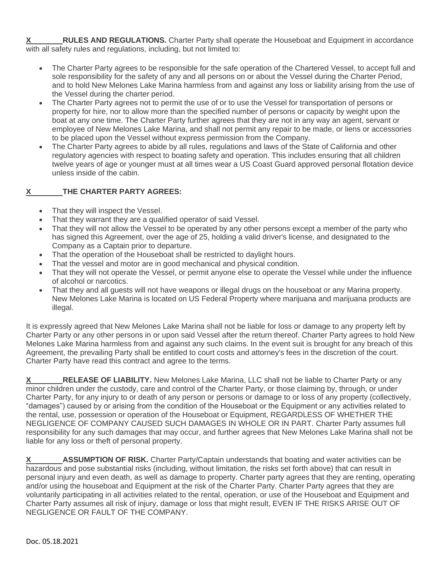**RULES AND REGULATIONS.** Charter Party shall operate the Houseboat and Equipment in accordance with all safety rules and regulations, including, but not limited to:

- The Charter Party agrees to be responsible for the safe operation of the Chartered Vessel, to accept full and sole responsibility for the safety of any and all persons on or about the Vessel during the Charter Period, and to hold New Melones Lake Marina harmless from and against any loss or liability arising from the use of the Vessel during the charter period.
- The Charter Party agrees not to permit the use of or to use the Vessel for transportation of persons or property for hire, nor to allow more than the specified number of persons or capacity by weight upon the boat at any one time. The Charter Party further agrees that they are not in any way an agent, servant or employee of New Melones Lake Marina, and shall not permit any repair to be made, or liens or accessories to be placed upon the Vessel without express permission from the Company.
- The Charter Party agrees to abide by all rules, regulations and laws of the State of California and other regulatory agencies with respect to boating safety and operation. This includes ensuring that all children twelve years of age or younger must at all times wear a US Coast Guard approved personal flotation device unless inside of the cabin.

## **X THE CHARTER PARTY AGREES:**

- That they will inspect the Vessel.
- That they warrant they are a qualified operator of said Vessel.
- That they will not allow the Vessel to be operated by any other persons except a member of the party who has signed this Agreement, over the age of 25, holding a valid driver's license, and designated to the Company as a Captain prior to departure.
- That the operation of the Houseboat shall be restricted to daylight hours.
- That the vessel and motor are in good mechanical and physical condition.
- That they will not operate the Vessel, or permit anyone else to operate the Vessel while under the influence of alcohol or narcotics.
- That they and all guests will not have weapons or illegal drugs on the houseboat or any Marina property. New Melones Lake Marina is located on US Federal Property where marijuana and marijuana products are illegal.

It is expressly agreed that New Melones Lake Marina shall not be liable for loss or damage to any property left by Charter Party or any other persons in or upon said Vessel after the return thereof. Charter Party agrees to hold New Melones Lake Marina harmless from and against any such claims. In the event suit is brought for any breach of this Agreement, the prevailing Party shall be entitled to court costs and attorney's fees in the discretion of the court. Charter Party have read this contract and agree to the terms.

**RELEASE OF LIABILITY.** New Melones Lake Marina, LLC shall not be liable to Charter Party or any minor children under the custody, care and control of the Charter Party, or those claiming by, through, or under Charter Party, for any injury to or death of any person or persons or damage to or loss of any property (collectively, "damages") caused by or arising from the condition of the Houseboat or the Equipment or any activities related to the rental, use, possession or operation of the Houseboat or Equipment, REGARDLESS OF WHETHER THE NEGLIGENCE OF COMPANY CAUSED SUCH DAMAGES IN WHOLE OR IN PART. Charter Party assumes full responsibility for any such damages that may occur, and further agrees that New Melones Lake Marina shall not be liable for any loss or theft of personal property.

**X** ASSUMPTION OF RISK. Charter Party/Captain understands that boating and water activities can be hazardous and pose substantial risks (including, without limitation, the risks set forth above) that can result in personal injury and even death, as well as damage to property. Charter party agrees that they are renting, operating and/or using the houseboat and Equipment at the risk of the Charter Party. Charter Party agrees that they are voluntarily participating in all activities related to the rental, operation, or use of the Houseboat and Equipment and Charter Party assumes all risk of injury, damage or loss that might result, EVEN IF THE RISKS ARISE OUT OF NEGLIGENCE OR FAULT OF THE COMPANY.